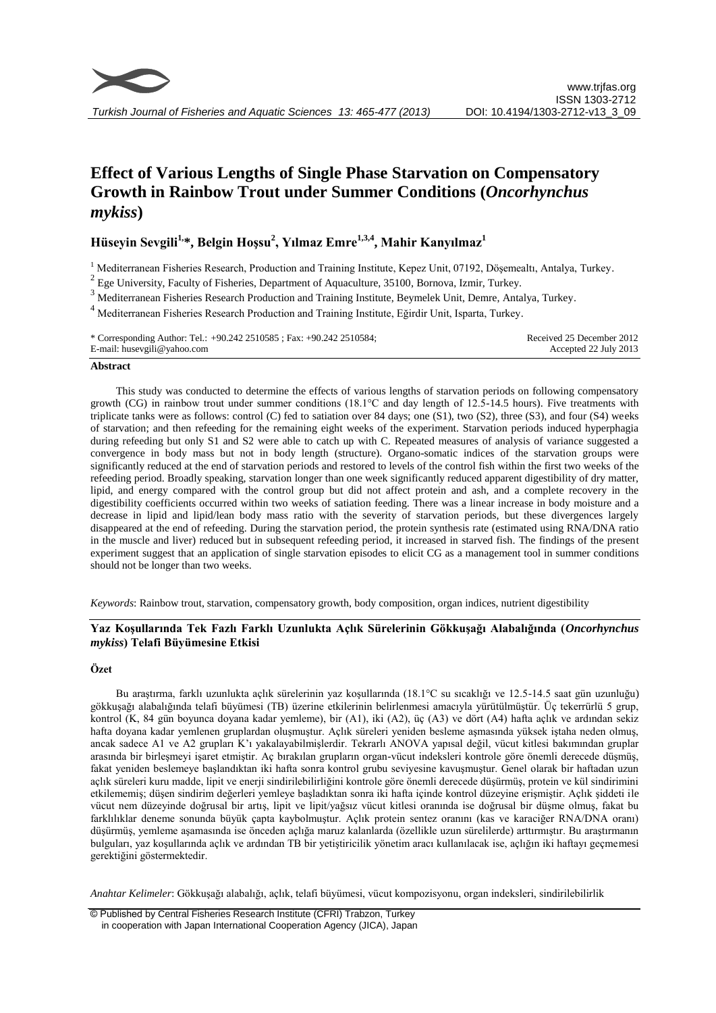

# **Effect of Various Lengths of Single Phase Starvation on Compensatory Growth in Rainbow Trout under Summer Conditions (***Oncorhynchus mykiss***)**

## **Hüseyin Sevgili1, \*, Belgin Hoşsu<sup>2</sup> , Yılmaz Emre1,3,4 , Mahir Kanyılmaz<sup>1</sup>**

<sup>1</sup> Mediterranean Fisheries Research, Production and Training Institute, Kepez Unit, 07192, Döşemealtı, Antalya, Turkey.

<sup>2</sup> Ege University, Faculty of Fisheries, Department of Aquaculture, 35100, Bornova, Izmir, Turkey.

<sup>3</sup> Mediterranean Fisheries Research Production and Training Institute, Beymelek Unit, Demre, Antalya, Turkey.

<sup>4</sup> Mediterranean Fisheries Research Production and Training Institute, Eğirdir Unit, Isparta, Turkey.

| * Corresponding Author: Tel.: +90.242 2510585 ; Fax: +90.242 2510584; | Received 25 December 2012 |
|-----------------------------------------------------------------------|---------------------------|
| E-mail: husevgili@yahoo.com                                           | Accepted 22 July 2013     |

## **Abstract**

This study was conducted to determine the effects of various lengths of starvation periods on following compensatory growth (CG) in rainbow trout under summer conditions (18.1°C and day length of 12.5-14.5 hours). Five treatments with triplicate tanks were as follows: control (C) fed to satiation over 84 days; one (S1), two (S2), three (S3), and four (S4) weeks of starvation; and then refeeding for the remaining eight weeks of the experiment. Starvation periods induced hyperphagia during refeeding but only S1 and S2 were able to catch up with C. Repeated measures of analysis of variance suggested a convergence in body mass but not in body length (structure). Organo-somatic indices of the starvation groups were significantly reduced at the end of starvation periods and restored to levels of the control fish within the first two weeks of the refeeding period. Broadly speaking, starvation longer than one week significantly reduced apparent digestibility of dry matter, lipid, and energy compared with the control group but did not affect protein and ash, and a complete recovery in the digestibility coefficients occurred within two weeks of satiation feeding. There was a linear increase in body moisture and a decrease in lipid and lipid/lean body mass ratio with the severity of starvation periods, but these divergences largely disappeared at the end of refeeding. During the starvation period, the protein synthesis rate (estimated using RNA/DNA ratio in the muscle and liver) reduced but in subsequent refeeding period, it increased in starved fish. The findings of the present experiment suggest that an application of single starvation episodes to elicit CG as a management tool in summer conditions should not be longer than two weeks.

*Keywords*: Rainbow trout, starvation, compensatory growth, body composition, organ indices, nutrient digestibility

## **Yaz Koşullarında Tek Fazlı Farklı Uzunlukta Açlık Sürelerinin Gökkuşağı Alabalığında (***Oncorhynchus mykiss***) Telafi Büyümesine Etkisi**

### **Özet**

Bu araştırma, farklı uzunlukta açlık sürelerinin yaz koşullarında (18.1°C su sıcaklığı ve 12.5-14.5 saat gün uzunluğu) gökkuşağı alabalığında telafi büyümesi (TB) üzerine etkilerinin belirlenmesi amacıyla yürütülmüştür. Üç tekerrürlü 5 grup, kontrol (K, 84 gün boyunca doyana kadar yemleme), bir (A1), iki (A2), üç (A3) ve dört (A4) hafta açlık ve ardından sekiz hafta doyana kadar yemlenen gruplardan oluşmuştur. Açlık süreleri yeniden besleme aşmasında yüksek iştaha neden olmuş, ancak sadece A1 ve A2 grupları K'ı yakalayabilmişlerdir. Tekrarlı ANOVA yapısal değil, vücut kitlesi bakımından gruplar arasında bir birleşmeyi işaret etmiştir. Aç bırakılan grupların organ-vücut indeksleri kontrole göre önemli derecede düşmüş, fakat yeniden beslemeye başlandıktan iki hafta sonra kontrol grubu seviyesine kavuşmuştur. Genel olarak bir haftadan uzun açlık süreleri kuru madde, lipit ve enerji sindirilebilirliğini kontrole göre önemli derecede düşürmüş, protein ve kül sindirimini etkilememiş; düşen sindirim değerleri yemleye başladıktan sonra iki hafta içinde kontrol düzeyine erişmiştir. Açlık şiddeti ile vücut nem düzeyinde doğrusal bir artış, lipit ve lipit/yağsız vücut kitlesi oranında ise doğrusal bir düşme olmuş, fakat bu farklılıklar deneme sonunda büyük çapta kaybolmuştur. Açlık protein sentez oranını (kas ve karaciğer RNA/DNA oranı) düşürmüş, yemleme aşamasında ise önceden açlığa maruz kalanlarda (özellikle uzun sürelilerde) arttırmıştır. Bu araştırmanın bulguları, yaz koşullarında açlık ve ardından TB bir yetiştiricilik yönetim aracı kullanılacak ise, açlığın iki haftayı geçmemesi gerektiğini göstermektedir.

*Anahtar Kelimeler*: Gökkuşağı alabalığı, açlık, telafi büyümesi, vücut kompozisyonu, organ indeksleri, sindirilebilirlik

© Published by Central Fisheries Research Institute (CFRI) Trabzon, Turkey in cooperation with Japan International Cooperation Agency (JICA), Japan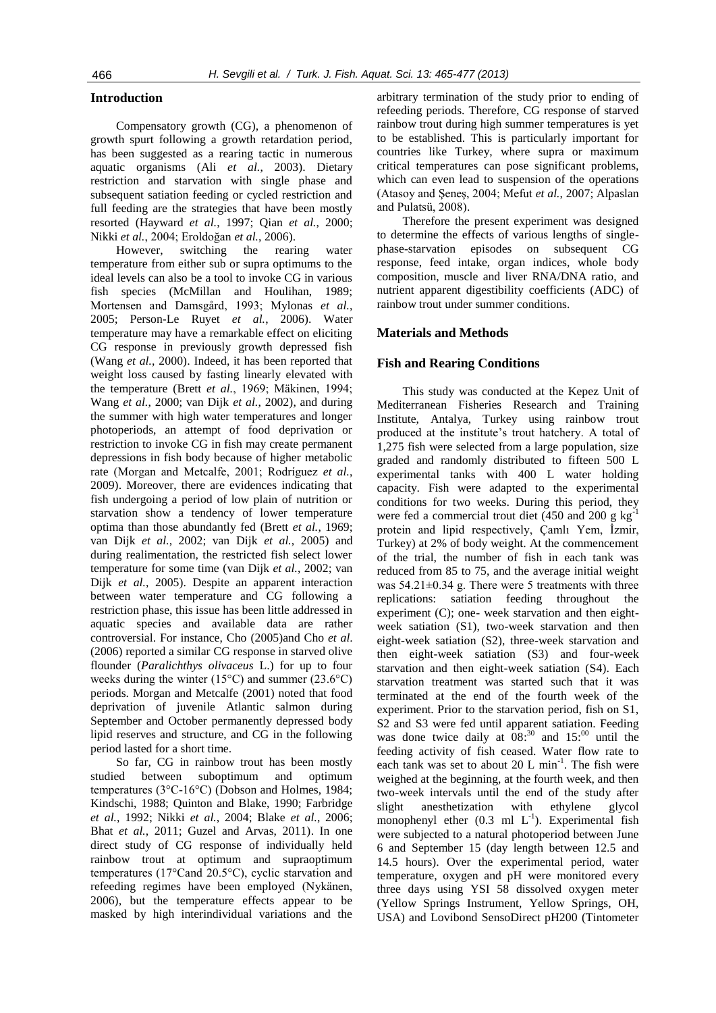## **Introduction**

Compensatory growth (CG), a phenomenon of growth spurt following a growth retardation period, has been suggested as a rearing tactic in numerous aquatic organisms (Ali *et al.*, 2003). Dietary restriction and starvation with single phase and subsequent satiation feeding or cycled restriction and full feeding are the strategies that have been mostly resorted (Hayward *et al.*, 1997; Qian *et al.*, 2000; Nikki *et al.*, 2004; Eroldoğan *et al.*, 2006).

However, switching the rearing water temperature from either sub or supra optimums to the ideal levels can also be a tool to invoke CG in various fish species (McMillan and Houlihan, 1989; Mortensen and Damsgård, 1993; Mylonas *et al.*, 2005; Person-Le Ruyet *et al.*, 2006). Water temperature may have a remarkable effect on eliciting CG response in previously growth depressed fish (Wang *et al.*, 2000). Indeed, it has been reported that weight loss caused by fasting linearly elevated with the temperature (Brett *et al.*, 1969; Mäkinen, 1994; Wang *et al.*, 2000; van Dijk *et al.*, 2002), and during the summer with high water temperatures and longer photoperiods, an attempt of food deprivation or restriction to invoke CG in fish may create permanent depressions in fish body because of higher metabolic rate (Morgan and Metcalfe, 2001; Rodríguez *et al.*, 2009). Moreover, there are evidences indicating that fish undergoing a period of low plain of nutrition or starvation show a tendency of lower temperature optima than those abundantly fed (Brett *et al.*, 1969; van Dijk *et al.*, 2002; van Dijk *et al.*, 2005) and during realimentation, the restricted fish select lower temperature for some time (van Dijk *et al.*, 2002; van Dijk *et al.*, 2005). Despite an apparent interaction between water temperature and CG following a restriction phase, this issue has been little addressed in aquatic species and available data are rather controversial. For instance, Cho (2005)and Cho *et al*. (2006) reported a similar CG response in starved olive flounder (*Paralichthys olivaceus* L.) for up to four weeks during the winter (15°C) and summer (23.6°C) periods. Morgan and Metcalfe (2001) noted that food deprivation of juvenile Atlantic salmon during September and October permanently depressed body lipid reserves and structure, and CG in the following period lasted for a short time.

So far, CG in rainbow trout has been mostly studied between suboptimum and optimum temperatures (3°C-16°C) (Dobson and Holmes, 1984; Kindschi, 1988; Quinton and Blake, 1990; Farbridge *et al.*, 1992; Nikki *et al.*, 2004; Blake *et al.*, 2006; Bhat *et al.*, 2011; Guzel and Arvas, 2011). In one direct study of CG response of individually held rainbow trout at optimum and supraoptimum temperatures (17°Cand 20.5°C), cyclic starvation and refeeding regimes have been employed (Nykänen, 2006), but the temperature effects appear to be masked by high interindividual variations and the

arbitrary termination of the study prior to ending of refeeding periods. Therefore, CG response of starved rainbow trout during high summer temperatures is yet to be established. This is particularly important for countries like Turkey, where supra or maximum critical temperatures can pose significant problems, which can even lead to suspension of the operations (Atasoy and Şeneş, 2004; Mefut *et al.*, 2007; Alpaslan and Pulatsü, 2008).

Therefore the present experiment was designed to determine the effects of various lengths of singlephase-starvation episodes on subsequent CG response, feed intake, organ indices, whole body composition, muscle and liver RNA/DNA ratio, and nutrient apparent digestibility coefficients (ADC) of rainbow trout under summer conditions.

## **Materials and Methods**

## **Fish and Rearing Conditions**

This study was conducted at the Kepez Unit of Mediterranean Fisheries Research and Training Institute, Antalya, Turkey using rainbow trout produced at the institute's trout hatchery. A total of 1,275 fish were selected from a large population, size graded and randomly distributed to fifteen 500 L experimental tanks with 400 L water holding capacity. Fish were adapted to the experimental conditions for two weeks. During this period, they were fed a commercial trout diet (450 and 200 g  $kg^{-1}$ protein and lipid respectively, Çamlı Yem, İzmir, Turkey) at 2% of body weight. At the commencement of the trial, the number of fish in each tank was reduced from 85 to 75, and the average initial weight was  $54.21 \pm 0.34$  g. There were 5 treatments with three replications: satiation feeding throughout the experiment (C); one- week starvation and then eightweek satiation (S1), two-week starvation and then eight-week satiation (S2), three-week starvation and then eight-week satiation (S3) and four-week starvation and then eight-week satiation (S4). Each starvation treatment was started such that it was terminated at the end of the fourth week of the experiment. Prior to the starvation period, fish on S1, S2 and S3 were fed until apparent satiation. Feeding was done twice daily at  $0.8^{30}$  and  $15^{00}$  until the feeding activity of fish ceased. Water flow rate to each tank was set to about 20 L min<sup>-1</sup>. The fish were weighed at the beginning, at the fourth week, and then two-week intervals until the end of the study after slight anesthetization with ethylene glycol monophenyl ether  $(0.3 \text{ ml } L^{-1})$ . Experimental fish were subjected to a natural photoperiod between June 6 and September 15 (day length between 12.5 and 14.5 hours). Over the experimental period, water temperature, oxygen and pH were monitored every three days using YSI 58 dissolved oxygen meter (Yellow Springs Instrument, Yellow Springs, OH, USA) and Lovibond SensoDirect pH200 (Tintometer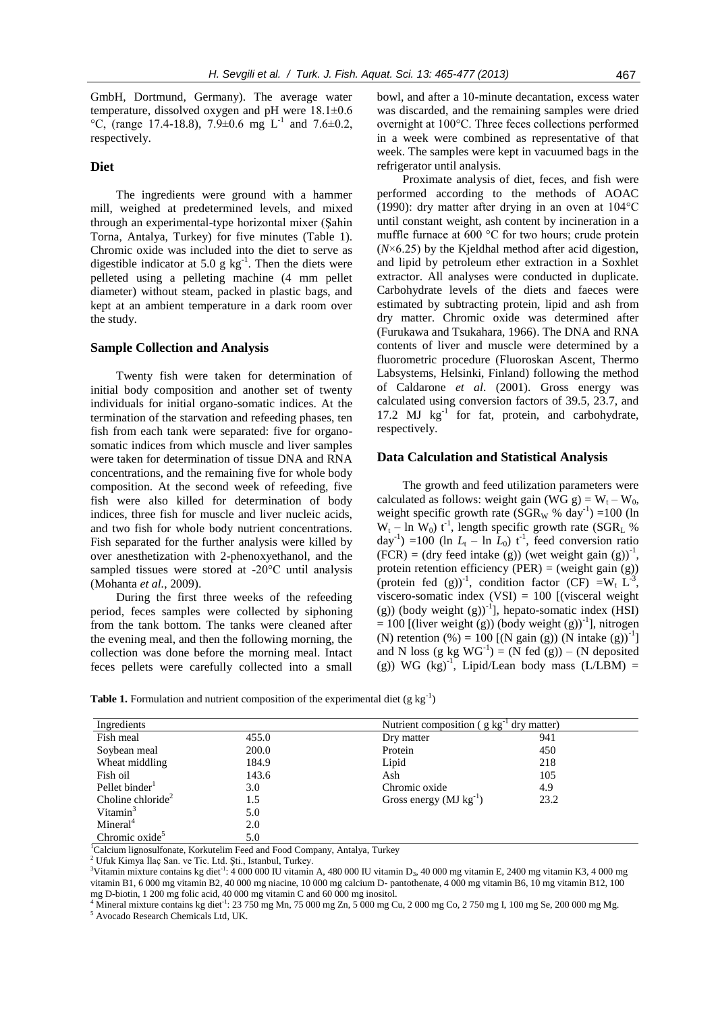GmbH, Dortmund, Germany). The average water temperature, dissolved oxygen and pH were 18.1±0.6  $^{\circ}$ C, (range 17.4-18.8), 7.9±0.6 mg L<sup>-1</sup> and 7.6±0.2, respectively.

## **Diet**

The ingredients were ground with a hammer mill, weighed at predetermined levels, and mixed through an experimental-type horizontal mixer (Şahin Torna, Antalya, Turkey) for five minutes (Table 1). Chromic oxide was included into the diet to serve as digestible indicator at 5.0 g  $\text{kg}^{-1}$ . Then the diets were pelleted using a pelleting machine (4 mm pellet diameter) without steam, packed in plastic bags, and kept at an ambient temperature in a dark room over the study.

## **Sample Collection and Analysis**

Twenty fish were taken for determination of initial body composition and another set of twenty individuals for initial organo-somatic indices. At the termination of the starvation and refeeding phases, ten fish from each tank were separated: five for organosomatic indices from which muscle and liver samples were taken for determination of tissue DNA and RNA concentrations, and the remaining five for whole body composition. At the second week of refeeding, five fish were also killed for determination of body indices, three fish for muscle and liver nucleic acids, and two fish for whole body nutrient concentrations. Fish separated for the further analysis were killed by over anesthetization with 2-phenoxyethanol, and the sampled tissues were stored at -20°C until analysis (Mohanta *et al.*, 2009).

During the first three weeks of the refeeding period, feces samples were collected by siphoning from the tank bottom. The tanks were cleaned after the evening meal, and then the following morning, the collection was done before the morning meal. Intact feces pellets were carefully collected into a small bowl, and after a 10-minute decantation, excess water was discarded, and the remaining samples were dried overnight at 100°C. Three feces collections performed in a week were combined as representative of that week. The samples were kept in vacuumed bags in the refrigerator until analysis.

Proximate analysis of diet, feces, and fish were performed according to the methods of AOAC (1990): dry matter after drying in an oven at 104°C until constant weight, ash content by incineration in a muffle furnace at 600 °C for two hours; crude protein  $(N\times 6.25)$  by the Kjeldhal method after acid digestion, and lipid by petroleum ether extraction in a Soxhlet extractor. All analyses were conducted in duplicate. Carbohydrate levels of the diets and faeces were estimated by subtracting protein, lipid and ash from dry matter. Chromic oxide was determined after (Furukawa and Tsukahara, 1966). The DNA and RNA contents of liver and muscle were determined by a fluorometric procedure (Fluoroskan Ascent, Thermo Labsystems, Helsinki, Finland) following the method of Caldarone *et al*. (2001). Gross energy was calculated using conversion factors of 39.5, 23.7, and 17.2 MJ kg<sup>-1</sup> for fat, protein, and carbohydrate, respectively.

### **Data Calculation and Statistical Analysis**

The growth and feed utilization parameters were calculated as follows: weight gain (WG g) =  $W_t - W_0$ , weight specific growth rate  $(SGR_w % day<sup>-1</sup>) = 100$  (ln  $W_t$  – ln  $W_0$ ) t<sup>-1</sup>, length specific growth rate (SGR<sub>L</sub> %) day<sup>-1</sup>) =100 (ln  $L_t$  – ln  $L_0$ ) t<sup>-1</sup>, feed conversion ratio  $(FCR) = (dry feed intake (g)) (wet weight gain (g))^{-1}$ , protein retention efficiency (PER) = (weight gain  $(g)$ ) (protein fed (g))<sup>-1</sup>, condition factor (CF) = $W_t$  L<sup>-3</sup>, viscero-somatic index  $(VSI) = 100$  [(visceral weight (g)) (body weight  $(g)$ )<sup>-1</sup>], hepato-somatic index (HSI)  $= 100$  [(liver weight (g)) (body weight (g))<sup>-1</sup>], nitrogen (N) retention  $(\% ) = 100$  [(N gain (g)) (N intake (g))<sup>-1</sup>] and N loss (g kg  $WG^{-1}$ ) = (N fed (g)) – (N deposited (g)) WG  $(kg)^{-1}$ , Lipid/Lean body mass (L/LBM) =

**Table 1.** Formulation and nutrient composition of the experimental diet  $(g \ kg^{-1})$ 

| Ingredients                   |       | Nutrient composition $(g \log^{-1} dr y)$ matter) |      |  |
|-------------------------------|-------|---------------------------------------------------|------|--|
| Fish meal                     | 455.0 | Dry matter                                        | 941  |  |
| Soybean meal                  | 200.0 | Protein                                           | 450  |  |
| Wheat middling                | 184.9 | Lipid                                             | 218  |  |
| Fish oil                      | 143.6 | Ash                                               | 105  |  |
| Pellet binder <sup>1</sup>    | 3.0   | Chromic oxide                                     | 4.9  |  |
| Choline chloride <sup>2</sup> | 1.5   | Gross energy $(MJ kg^{-1})$                       | 23.2 |  |
| Vitamin <sup>3</sup>          | 5.0   |                                                   |      |  |
| Mineral <sup>4</sup>          | 2.0   |                                                   |      |  |
| Chromic oxide <sup>5</sup>    | 5.0   |                                                   |      |  |

<sup>1</sup>Calcium lignosulfonate, Korkutelim Feed and Food Company, Antalya, Turkey

<sup>2</sup> Ufuk Kimya İlaç San. ve Tic. Ltd. Şti., Istanbul, Turkey.

<sup>3</sup>Vitamin mixture contains kg diet<sup>-1</sup>: 4 000 000 IU vitamin A, 480 000 IU vitamin D<sub>3</sub>, 40 000 mg vitamin E, 2400 mg vitamin K3, 4 000 mg vitamin B1, 6 000 mg vitamin B2, 40 000 mg niacine, 10 000 mg calcium D- pantothenate, 4 000 mg vitamin B6, 10 mg vitamin B12, 100 mg D-biotin, 1 200 mg folic acid, 40 000 mg vitamin C and 60 000 mg inositol.

 $4$  Mineral mixture contains kg diet<sup>-1</sup>: 23 750 mg Mn, 75 000 mg Zn, 5 000 mg Cu, 2 000 mg Co, 2 750 mg I, 100 mg Se, 200 000 mg Mg.

<sup>5</sup> [Avocado Research Chemicals Ltd,](http://www.applegate.co.uk/company/12/20/114.htm) UK.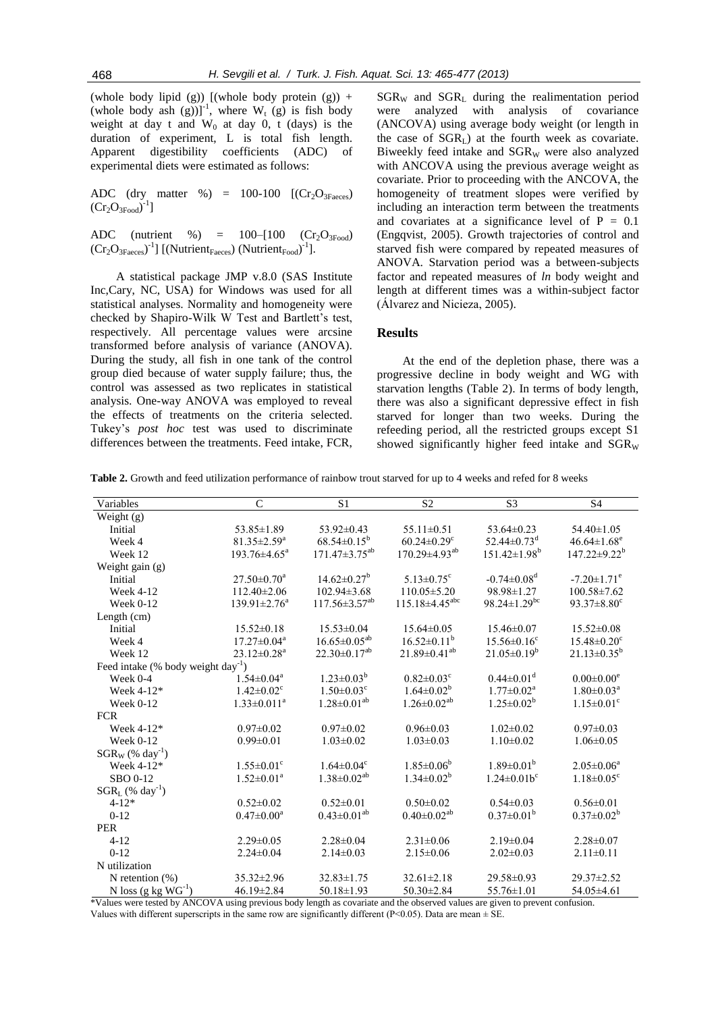(whole body lipid (g)) [(whole body protein  $(g)$ ) + (whole body ash  $(g)$ )]<sup>-1</sup>, where  $W_t$  (g) is fish body weight at day t and  $W_0$  at day 0, t (days) is the duration of experiment, L is total fish length. Apparent digestibility coefficients (ADC) of experimental diets were estimated as follows:

ADC (dry matter %) =  $100-100$  [(Cr<sub>2</sub>O<sub>3Faeces</sub>)  $(Cr_2O_{3Food})^{-1}]$ 

ADC (nutrient %) =  $100-[100 (Cr<sub>2</sub>O<sub>3Food</sub>)$  $(Cr_2O_{3\text{Facces}})^{-1}]$  [(Nutrient<sub>Faeces</sub>) (Nutrient<sub>Food</sub>)<sup>-1</sup>].

A statistical package JMP v.8.0 (SAS Institute Inc,Cary, NC, USA) for Windows was used for all statistical analyses. Normality and homogeneity were checked by Shapiro-Wilk W Test and Bartlett's test, respectively. All percentage values were arcsine transformed before analysis of variance (ANOVA). During the study, all fish in one tank of the control group died because of water supply failure; thus, the control was assessed as two replicates in statistical analysis. One-way ANOVA was employed to reveal the effects of treatments on the criteria selected. Tukey's *post hoc* test was used to discriminate differences between the treatments. Feed intake, FCR,

 $SGR_W$  and  $SGR_L$  during the realimentation period were analyzed with analysis of covariance (ANCOVA) using average body weight (or length in the case of  $SGR<sub>L</sub>$ ) at the fourth week as covariate. Biweekly feed intake and  $SGR_W$  were also analyzed with ANCOVA using the previous average weight as covariate. Prior to proceeding with the ANCOVA, the homogeneity of treatment slopes were verified by including an interaction term between the treatments and covariates at a significance level of  $P = 0.1$ (Engqvist, 2005). Growth trajectories of control and starved fish were compared by repeated measures of ANOVA. Starvation period was a between-subjects factor and repeated measures of *ln* body weight and length at different times was a within-subject factor (Álvarez and Nicieza, 2005).

## **Results**

At the end of the depletion phase, there was a progressive decline in body weight and WG with starvation lengths (Table 2). In terms of body length, there was also a significant depressive effect in fish starved for longer than two weeks. During the refeeding period, all the restricted groups except S1 showed significantly higher feed intake and  $SGR<sub>w</sub>$ 

**Table 2.** Growth and feed utilization performance of rainbow trout starved for up to 4 weeks and refed for 8 weeks

| $\mathsf{C}$<br>S <sub>2</sub><br>S <sub>3</sub><br><b>S4</b><br>S <sub>1</sub><br>Variables                                                                               |  |
|----------------------------------------------------------------------------------------------------------------------------------------------------------------------------|--|
|                                                                                                                                                                            |  |
| Weight $(g)$                                                                                                                                                               |  |
| $53.85 \pm 1.89$<br>$55.11 \pm 0.51$<br>54.40±1.05<br>Initial<br>$53.92 \pm 0.43$<br>$53.64 \pm 0.23$                                                                      |  |
| $68.54\pm0.15^b$<br>52.44 $\pm$ 0.73 <sup>d</sup><br>$81.35 \pm 2.59^{\mathrm{a}}$<br>$60.24 \pm 0.29$ <sup>c</sup><br>$46.64 \pm 1.68$ <sup>e</sup><br>Week 4             |  |
| $171.47 \pm 3.75^{ab}$<br>$170.29 \pm 4.93^{ab}$<br>$151.42\pm1.98^b$<br>$147.22 \pm 9.22^b$<br>$193.76 \pm 4.65^{\text{a}}$<br>Week 12                                    |  |
| Weight gain (g)                                                                                                                                                            |  |
| $14.62 \pm 0.27$ <sup>b</sup><br>$27.50 \pm 0.70^{\circ}$<br>$5.13 \pm 0.75$ <sup>c</sup><br>$-0.74 \pm 0.08$ <sup>d</sup><br>$-7.20 \pm 1.71$ <sup>e</sup><br>Initial     |  |
| $112.40 \pm 2.06$<br>$102.94\pm3.68$<br>$110.05 \pm 5.20$<br>98.98±1.27<br>$100.58 \pm 7.62$<br>Week 4-12                                                                  |  |
| $98.24 \pm 1.29$ <sup>bc</sup><br>$117.56 \pm 3.57$ <sup>ab</sup><br>$115.18\pm4.45$ <sup>abc</sup><br>$139.91 \pm 2.76^a$<br>$93.37 \pm 8.80$ <sup>c</sup><br>Week $0-12$ |  |
| Length (cm)                                                                                                                                                                |  |
| Initial<br>$15.52 \pm 0.18$<br>$15.53 \pm 0.04$<br>$15.64\pm0.05$<br>$15.46 \pm 0.07$<br>$15.52 \pm 0.08$                                                                  |  |
| $16.65 \pm 0.05^{ab}$<br>$16.52 \pm 0.11^b$<br>$17.27 \pm 0.04^a$<br>$15.56 \pm 0.16$ <sup>c</sup><br>$15.48 \pm 0.20$ <sup>c</sup><br>Week 4                              |  |
| $22.30\pm0.17^{ab}$<br>$21.89\pm0.41^{ab}$<br>$21.05 \pm 0.19^b$<br>$21.13\pm0.35^{b}$<br>$23.12 \pm 0.28$ <sup>a</sup><br>Week 12                                         |  |
| Feed intake (% body weight $day^{-1}$ )                                                                                                                                    |  |
| $1.23 \pm 0.03^b$<br>$1.54 \pm 0.04^a$<br>$0.82 \pm 0.03$ <sup>c</sup><br>$0.44 \pm 0.01$ <sup>d</sup><br>$0.00 \pm 0.00^e$<br>Week $0-4$                                  |  |
| $1.64 \pm 0.02^b$<br>$1.42 \pm 0.02$ <sup>c</sup><br>$1.50 \pm 0.03$ <sup>c</sup><br>$1.80 \pm 0.03^{\text{a}}$<br>Week $4-12*$<br>$1.77 \pm 0.02^{\text{a}}$              |  |
| $1.28 \pm 0.01^{ab}$<br>$1.25 \pm 0.02^b$<br>$1.26 \pm 0.02^{ab}$<br>$1.33 \pm 0.011^a$<br>$1.15 \pm 0.01$ <sup>c</sup><br>Week $0-12$                                     |  |
| <b>FCR</b>                                                                                                                                                                 |  |
| Week $4-12*$<br>$0.97 \pm 0.02$<br>$0.97 \pm 0.03$<br>$0.97 \pm 0.02$<br>$0.96 \pm 0.03$<br>$1.02 \pm 0.02$                                                                |  |
| Week 0-12<br>$0.99 \pm 0.01$<br>$1.03 \pm 0.02$<br>$1.03 \pm 0.03$<br>$1.10 \pm 0.02$<br>$1.06 \pm 0.05$                                                                   |  |
| $SGR_W$ (% day <sup>-1</sup> )                                                                                                                                             |  |
| $1.85 \pm 0.06^b$<br>$1.89 \pm 0.01^b$<br>$1.55 \pm 0.01$ <sup>c</sup><br>$2.05 \pm 0.06^a$<br>Week $4-12*$<br>$1.64 \pm 0.04$ <sup>c</sup>                                |  |
| $1.38 \pm 0.02^{ab}$<br>$1.34 \pm 0.02^b$<br>$1.52 \pm 0.01^a$<br>$1.24 \pm 0.01 h^c$<br>$1.18 \pm 0.05$ <sup>c</sup><br>SBO 0-12                                          |  |
| $SGR_L$ (% day <sup>-1</sup> )                                                                                                                                             |  |
| $4 - 12*$<br>$0.52 \pm 0.02$<br>$0.52 \pm 0.01$<br>$0.50 \pm 0.02$<br>$0.54 \pm 0.03$<br>$0.56 \pm 0.01$                                                                   |  |
| $0.43 \pm 0.01^{ab}$<br>$0.37 \pm 0.01^{\rm b}$<br>$0.40 \pm 0.02^{ab}$<br>$0.37 \pm 0.02^b$<br>$0.47 \pm 0.00^a$<br>$0-12$                                                |  |
| <b>PER</b>                                                                                                                                                                 |  |
| $2.28 \pm 0.07$<br>$4 - 12$<br>$2.29 \pm 0.05$<br>$2.28 \pm 0.04$<br>$2.31 \pm 0.06$<br>$2.19 \pm 0.04$                                                                    |  |
| $2.24 \pm 0.04$<br>$2.11 \pm 0.11$<br>$0 - 12$<br>$2.14\pm0.03$<br>$2.15 \pm 0.06$<br>$2.02\pm0.03$                                                                        |  |
| N utilization                                                                                                                                                              |  |
| $35.32 \pm 2.96$<br>$32.83 \pm 1.75$<br>$32.61 \pm 2.18$<br>$29.58 \pm 0.93$<br>29.37±2.52<br>N retention $(\%)$                                                           |  |
| N loss (g kg $WG^{-1}$ )<br>$46.19 \pm 2.84$<br>$50.18 \pm 1.93$<br>$50.30 \pm 2.84$<br>$55.76 \pm 1.01$<br>54.05±4.61                                                     |  |

\*Values were tested by ANCOVA using previous body length as covariate and the observed values are given to prevent confusion. Values with different superscripts in the same row are significantly different (P<0.05). Data are mean  $\pm$  SE.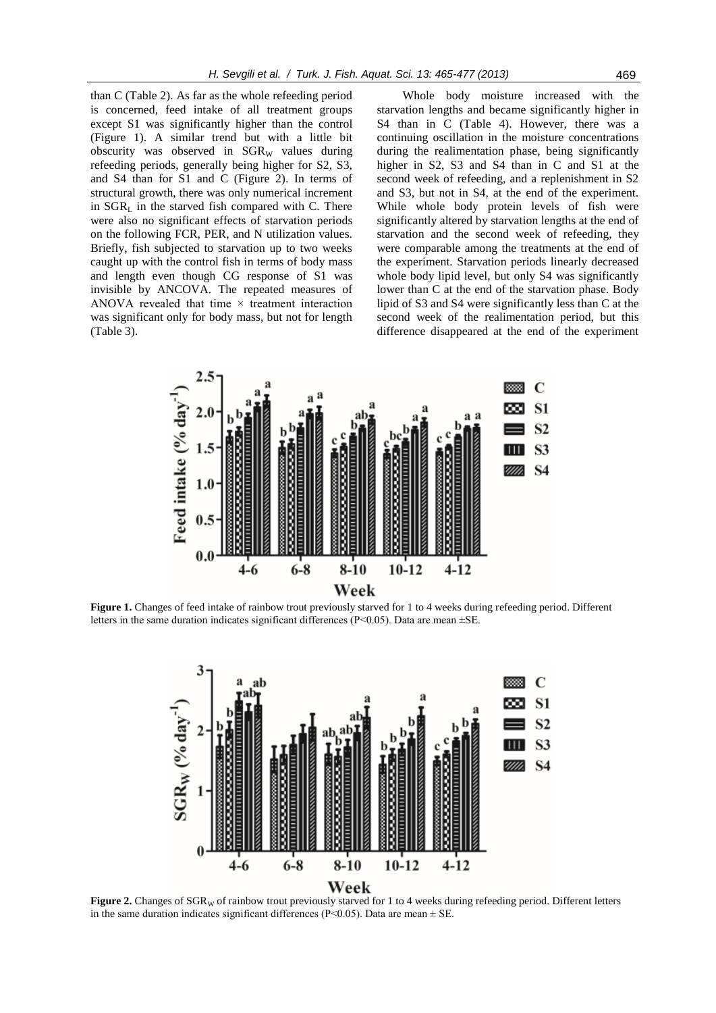than C (Table 2). As far as the whole refeeding period is concerned, feed intake of all treatment groups except S1 was significantly higher than the control (Figure 1). A similar trend but with a little bit obscurity was observed in  $SGR_W$  values during refeeding periods, generally being higher for S2, S3, and S4 than for S1 and C (Figure 2). In terms of structural growth, there was only numerical increment in SGR<sub>L</sub> in the starved fish compared with C. There were also no significant effects of starvation periods on the following FCR, PER, and N utilization values. Briefly, fish subjected to starvation up to two weeks caught up with the control fish in terms of body mass and length even though CG response of S1 was invisible by ANCOVA. The repeated measures of ANOVA revealed that time  $\times$  treatment interaction was significant only for body mass, but not for length (Table 3).

Whole body moisture increased with the starvation lengths and became significantly higher in S4 than in C (Table 4). However, there was a continuing oscillation in the moisture concentrations during the realimentation phase, being significantly higher in S2, S3 and S4 than in C and S1 at the second week of refeeding, and a replenishment in S2 and S3, but not in S4, at the end of the experiment. While whole body protein levels of fish were significantly altered by starvation lengths at the end of starvation and the second week of refeeding, they were comparable among the treatments at the end of the experiment. Starvation periods linearly decreased whole body lipid level, but only S4 was significantly lower than C at the end of the starvation phase. Body lipid of S3 and S4 were significantly less than C at the second week of the realimentation period, but this difference disappeared at the end of the experiment



**Figure 1.** Changes of feed intake of rainbow trout previously starved for 1 to 4 weeks during refeeding period. Different letters in the same duration indicates significant differences ( $P < 0.05$ ). Data are mean  $\pm$ SE.



**Figure 2.** Changes of SGR<sub>W</sub> of rainbow trout previously starved for 1 to 4 weeks during refeeding period. Different letters in the same duration indicates significant differences ( $P<0.05$ ). Data are mean  $\pm$  SE.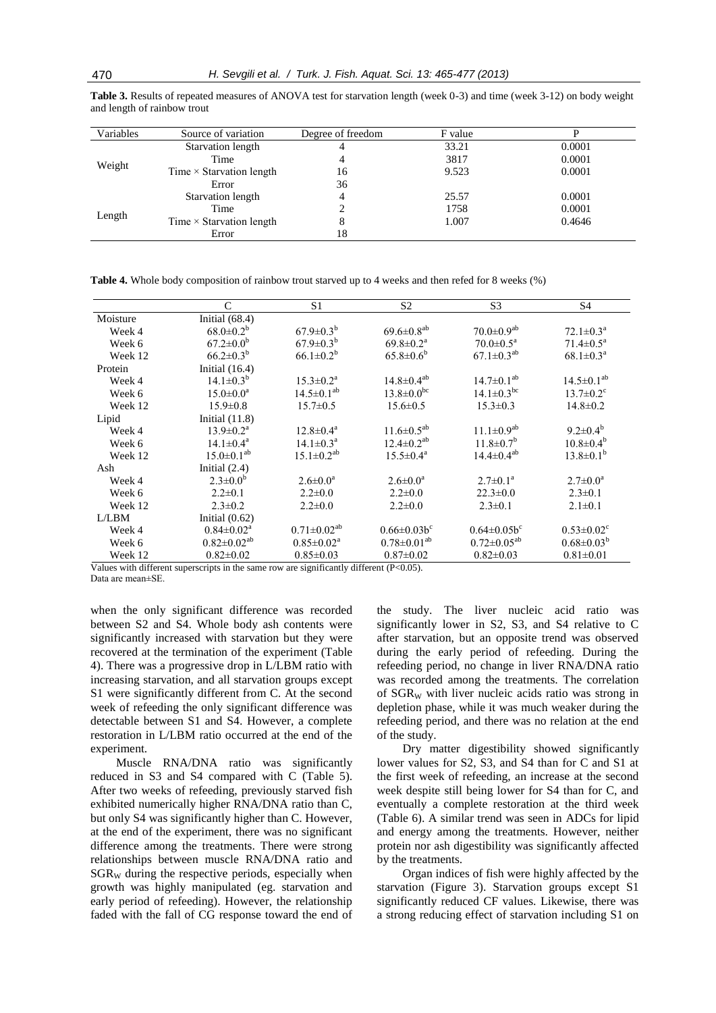| Variables | Source of variation             | Degree of freedom | F value | D      |
|-----------|---------------------------------|-------------------|---------|--------|
|           | Starvation length               |                   | 33.21   | 0.0001 |
|           | Time                            | 4                 | 3817    | 0.0001 |
| Weight    | Time $\times$ Starvation length | 16                | 9.523   | 0.0001 |
|           | Error                           | 36                |         |        |
|           | Starvation length               | 4                 | 25.57   | 0.0001 |
| Length    | Time                            |                   | 1758    | 0.0001 |
|           | Time $\times$ Starvation length | 8                 | 1.007   | 0.4646 |
|           | Error                           | 18                |         |        |

**Table 3.** Results of repeated measures of ANOVA test for starvation length (week 0-3) and time (week 3-12) on body weight and length of rainbow trout

**Table 4.** Whole body composition of rainbow trout starved up to 4 weeks and then refed for 8 weeks (%)

|          | C                                                                                                                                                       | S <sub>1</sub>              | S <sub>2</sub>            | S <sub>3</sub>            | S <sub>4</sub>               |
|----------|---------------------------------------------------------------------------------------------------------------------------------------------------------|-----------------------------|---------------------------|---------------------------|------------------------------|
| Moisture | Initial $(68.4)$                                                                                                                                        |                             |                           |                           |                              |
| Week 4   | $68.0 \pm 0.2^b$                                                                                                                                        | $67.9 \pm 0.3^b$            | $69.6 \pm 0.8^{ab}$       | $70.0 \pm 0.9^{ab}$       | $72.1 \pm 0.3^{\text{a}}$    |
| Week 6   | $67.2 \pm 0.0^b$                                                                                                                                        | $67.9 \pm 0.3^b$            | $69.8 \pm 0.2^{\text{a}}$ | $70.0 \pm 0.5^{\text{a}}$ | $71.4 \pm 0.5^{\text{a}}$    |
| Week 12  | $66.2 \pm 0.3^{b}$                                                                                                                                      | 66.1 $\pm$ 0.2 <sup>b</sup> | $65.8 \pm 0.6^b$          | $67.1 \pm 0.3^{ab}$       | $68.1 \pm 0.3^{\text{a}}$    |
| Protein  | Initial $(16.4)$                                                                                                                                        |                             |                           |                           |                              |
| Week 4   | $14.1 \pm 0.3^b$                                                                                                                                        | $15.3 \pm 0.2^{\text{a}}$   | $14.8 \pm 0.4^{ab}$       | $14.7 \pm 0.1^{ab}$       | $14.5 \pm 0.1^{ab}$          |
| Week 6   | $15.0 \pm 0.0^a$                                                                                                                                        | $14.5 \pm 0.1^{ab}$         | $13.8 \pm 0.0^{\rm bc}$   | $14.1 \pm 0.3^{bc}$       | $13.7 \pm 0.2$ <sup>c</sup>  |
| Week 12  | $15.9 \pm 0.8$                                                                                                                                          | $15.7 \pm 0.5$              | $15.6 \pm 0.5$            | $15.3 \pm 0.3$            | $14.8 \pm 0.2$               |
| Lipid    | Initial $(11.8)$                                                                                                                                        |                             |                           |                           |                              |
| Week 4   | $13.9 \pm 0.2^{\text{a}}$                                                                                                                               | $12.8 \pm 0.4^{\text{a}}$   | $11.6 \pm 0.5^{ab}$       | $11.1 \pm 0.9^{ab}$       | $9.2 \pm 0.4^b$              |
| Week 6   | $14.1 \pm 0.4^{\text{a}}$                                                                                                                               | $14.1 \pm 0.3^{\text{a}}$   | $12.4 \pm 0.2^{ab}$       | $11.8 \pm 0.7^b$          | $10.8 \pm 0.4^b$             |
| Week 12  | $15.0 \pm 0.1^{ab}$                                                                                                                                     | $15.1 \pm 0.2^{ab}$         | $15.5 \pm 0.4^{\text{a}}$ | $14.4 \pm 0.4^{ab}$       | $13.8 \pm 0.1^b$             |
| Ash      | Initial $(2.4)$                                                                                                                                         |                             |                           |                           |                              |
| Week 4   | $2.3 \pm 0.0^b$                                                                                                                                         | $2.6 \pm 0.0^a$             | $2.6 \pm 0.0^a$           | $2.7 \pm 0.1^{\circ}$     | $2.7 \pm 0.0^a$              |
| Week 6   | $2.2 \pm 0.1$                                                                                                                                           | $2.2 \pm 0.0$               | $2.2 \pm 0.0$             | $22.3 \pm 0.0$            | $2.3 \pm 0.1$                |
| Week 12  | $2.3 \pm 0.2$                                                                                                                                           | $2.2 \pm 0.0$               | $2.2 \pm 0.0$             | $2.3 \pm 0.1$             | $2.1 \pm 0.1$                |
| L/LBM    | Initial $(0.62)$                                                                                                                                        |                             |                           |                           |                              |
| Week 4   | $0.84 \pm 0.02^{\text{a}}$                                                                                                                              | $0.71 \pm 0.02^{ab}$        | $0.66 \pm 0.03 b^c$       | $0.64 \pm 0.05 b^c$       | $0.53 \pm 0.02$ <sup>c</sup> |
| Week 6   | $0.82 \pm 0.02^{ab}$                                                                                                                                    | $0.85 \pm 0.02^a$           | $0.78 \pm 0.01^{ab}$      | $0.72 \pm 0.05^{ab}$      | $0.68 \pm 0.03^b$            |
| Week 12  | $0.82 \pm 0.02$<br>$U_{\rm{eff}}$ . The contribution of the contribution of the contract of the contribution of $\Gamma$ . The contribution of $\Gamma$ | $0.85 \pm 0.03$             | $0.87 \pm 0.02$           | $0.82 \pm 0.03$           | $0.81 \pm 0.01$              |

Values with different superscripts in the same row are significantly different  $(P<0.05)$ . Data are mean±SE.

when the only significant difference was recorded between S2 and S4. Whole body ash contents were significantly increased with starvation but they were recovered at the termination of the experiment (Table 4). There was a progressive drop in L/LBM ratio with increasing starvation, and all starvation groups except S1 were significantly different from C. At the second week of refeeding the only significant difference was detectable between S1 and S4. However, a complete restoration in L/LBM ratio occurred at the end of the experiment.

Muscle RNA/DNA ratio was significantly reduced in S3 and S4 compared with C (Table 5). After two weeks of refeeding, previously starved fish exhibited numerically higher RNA/DNA ratio than C, but only S4 was significantly higher than C. However, at the end of the experiment, there was no significant difference among the treatments. There were strong relationships between muscle RNA/DNA ratio and  $SGR_W$  during the respective periods, especially when growth was highly manipulated (eg. starvation and early period of refeeding). However, the relationship faded with the fall of CG response toward the end of

the study. The liver nucleic acid ratio was significantly lower in S2, S3, and S4 relative to C after starvation, but an opposite trend was observed during the early period of refeeding. During the refeeding period, no change in liver RNA/DNA ratio was recorded among the treatments. The correlation of  $SGR_W$  with liver nucleic acids ratio was strong in depletion phase, while it was much weaker during the refeeding period, and there was no relation at the end of the study.

Dry matter digestibility showed significantly lower values for S2, S3, and S4 than for C and S1 at the first week of refeeding, an increase at the second week despite still being lower for S4 than for C, and eventually a complete restoration at the third week (Table 6). A similar trend was seen in ADCs for lipid and energy among the treatments. However, neither protein nor ash digestibility was significantly affected by the treatments.

Organ indices of fish were highly affected by the starvation (Figure 3). Starvation groups except S1 significantly reduced CF values. Likewise, there was a strong reducing effect of starvation including S1 on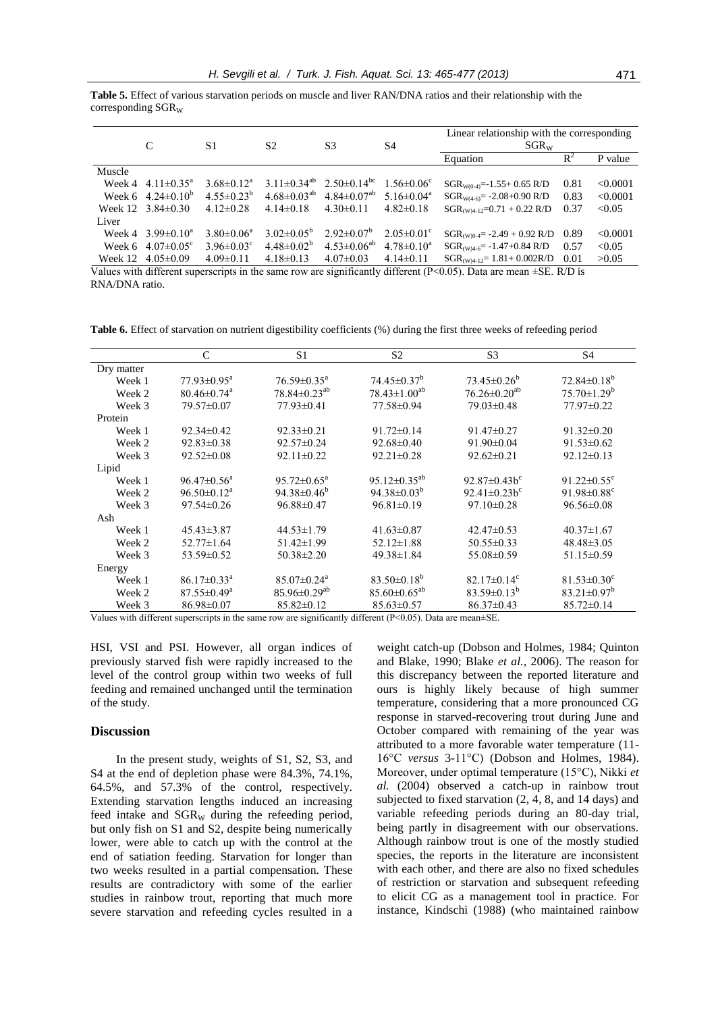**Table 5.** Effect of various starvation periods on muscle and liver RAN/DNA ratios and their relationship with the corresponding SGR<sub>W</sub>

|        | C                             | S1                           | S <sub>2</sub>          | S3                          | S4                           | Linear relationship with the corresponding<br>$SGR_{W}$ |       |          |
|--------|-------------------------------|------------------------------|-------------------------|-----------------------------|------------------------------|---------------------------------------------------------|-------|----------|
|        |                               |                              |                         |                             |                              | Equation                                                | $R^2$ | P value  |
| Muscle |                               |                              |                         |                             |                              |                                                         |       |          |
| Week 4 | $4.11 \pm 0.35^{\text{a}}$    | $3.68 \pm 0.12^a$            | $3.11 \pm 0.34^{ab}$    | $2.50\pm0.14$ <sup>bc</sup> | $1.56 \pm 0.06$ <sup>c</sup> | $SGR_{W(0-4)} = -1.55 + 0.65$ R/D                       | 0.81  | < 0.0001 |
|        | Week 6 $4.24 \pm 0.10^6$      | $4.55 \pm 0.23^b$            | $4.68 \pm 0.03^{ab}$    | $4.84 \pm 0.07^{ab}$        | 5.16 $\pm$ 0.04 <sup>a</sup> | $SGR_{W(4-6)} = -2.08 + 0.90$ R/D                       | 0.83  | < 0.0001 |
|        | Week $12 \quad 3.84 \pm 0.30$ | $4.12\pm0.28$                | $4.14\pm0.18$           | $4.30\pm0.11$               | $4.82\pm0.18$                | $SGR_{(W)4-12}=0.71+0.22$ R/D                           | 0.37  | < 0.05   |
| Liver  |                               |                              |                         |                             |                              |                                                         |       |          |
|        | Week 4 $3.99 \pm 0.10^a$      | $3.80 \pm 0.06^{\circ}$      | $3.02 \pm 0.05^{\circ}$ | $2.92 \pm 0.07^b$           | $2.05 \pm 0.01$ <sup>c</sup> | $SGR_{(W)0.4} = -2.49 + 0.92$ R/D                       | 0.89  | < 0.0001 |
|        | Week 6 $4.07\pm0.05^{\circ}$  | $3.96 \pm 0.03$ <sup>c</sup> | $4.48 \pm 0.02^b$       | $4.53 \pm 0.06^{ab}$        | $4.78 \pm 0.10^a$            | $SGR_{(W)4-6} = -1.47+0.84$ R/D                         | 0.57  | < 0.05   |
|        | Week $12 \quad 4.05 \pm 0.09$ | $4.09\pm0.11$                | $4.18\pm0.13$           | $4.07\pm0.03$               | $4.14\pm0.11$                | $SGR_{(W)4-12} = 1.81 + 0.002R/D$                       | 0.01  | >0.05    |

Values with different superscripts in the same row are significantly different (P<0.05). Data are mean  $\pm$ SE. R/D is RNA/DNA ratio.

**Table 6.** Effect of starvation on nutrient digestibility coefficients (%) during the first three weeks of refeeding period

|                               | C                             | S1                                                                 | S <sub>2</sub>                 | S <sub>3</sub>                 | S4                             |
|-------------------------------|-------------------------------|--------------------------------------------------------------------|--------------------------------|--------------------------------|--------------------------------|
| Dry matter                    |                               |                                                                    |                                |                                |                                |
| Week 1                        | $77.93 \pm 0.95^{\text{a}}$   | $76.59 \pm 0.35^{\text{a}}$                                        | $74.45 \pm 0.37^b$             | $73.45\pm0.26^b$               | $72.84 \pm 0.18^b$             |
| Week 2                        | $80.46 \pm 0.74$ <sup>a</sup> | $78.84 \pm 0.23$ <sup>ab</sup>                                     | $78.43 \pm 1.00^{ab}$          | $76.26 \pm 0.20$ <sup>ab</sup> | $75.70 \pm 1.29^b$             |
| Week 3                        | 79.57±0.07                    | $77.93 \pm 0.41$                                                   | 77.58 ± 0.94                   | $79.03 \pm 0.48$               | $77.97\pm0.22$                 |
| Protein                       |                               |                                                                    |                                |                                |                                |
| Week 1                        | $92.34 \pm 0.42$              | $92.33 \pm 0.21$                                                   | $91.72 \pm 0.14$               | $91.47\pm0.27$                 | $91.32\pm0.20$                 |
| Week 2                        | $92.83 \pm 0.38$              | $92.57 \pm 0.24$                                                   | $92.68 \pm 0.40$               | $91.90 \pm 0.04$               | $91.53 \pm 0.62$               |
| Week 3                        | $92.52 \pm 0.08$              | $92.11 \pm 0.22$                                                   | $92.21 \pm 0.28$               | $92.62 \pm 0.21$               | $92.12 \pm 0.13$               |
| Lipid                         |                               |                                                                    |                                |                                |                                |
| Week 1                        | $96.47 \pm 0.56^{\text{a}}$   | $95.72 \pm 0.65^a$                                                 | 95.12 $\pm$ 0.35 <sup>ab</sup> | $92.87 \pm 0.43 b^c$           | 91.22 $\pm$ 0.55 $\textdegree$ |
| Week 2                        | $96.50 \pm 0.12^{\text{a}}$   | 94.38 $\pm$ 0.46 <sup>b</sup>                                      | 94.38 $\pm$ 0.03 <sup>b</sup>  | $92.41 \pm 0.23 b^c$           | 91.98 $\pm$ 0.88 $\textdegree$ |
| Week 3                        | $97.54\pm0.26$                | $96.88 \pm 0.47$                                                   | $96.81 \pm 0.19$               | $97.10 \pm 0.28$               | $96.56 \pm 0.08$               |
| Ash                           |                               |                                                                    |                                |                                |                                |
| Week 1                        | $45.43\pm3.87$                | $44.53 \pm 1.79$                                                   | $41.63 \pm 0.87$               | $42.47\pm0.53$                 | $40.37 \pm 1.67$               |
| Week 2                        | $52.77 \pm 1.64$              | $51.42 \pm 1.99$                                                   | $52.12 \pm 1.88$               | $50.55 \pm 0.33$               | $48.48 \pm 3.05$               |
| Week 3                        | $53.59 \pm 0.52$              | $50.38 \pm 2.20$                                                   | $49.38 \pm 1.84$               | 55.08 ± 0.59                   | $51.15 \pm 0.59$               |
| Energy                        |                               |                                                                    |                                |                                |                                |
| Week 1                        | $86.17 \pm 0.33$ <sup>a</sup> | $85.07\pm0.24$ <sup>a</sup>                                        | $83.50\pm0.18^{b}$             | $82.17\pm0.14^c$               | $81.53 \pm 0.30$ <sup>c</sup>  |
| Week 2                        | $87.55 \pm 0.49^{\mathrm{a}}$ | $85.96 \pm 0.29$ <sup>ab</sup>                                     | $85.60\pm0.65^{ab}$            | $83.59 \pm 0.13^b$             | $83.21 \pm 0.97^b$             |
| Week 3<br><b>x</b> <i>x</i> 1 | $86.98 \pm 0.07$              | $85.82\pm0.12$<br>$\sim$ $\sim$ $\sim$ $\sim$ $\sim$ $\sim$ $\sim$ | $85.63\pm0.57$                 | $86.37 \pm 0.43$               | $85.72\pm0.14$                 |

Values with different superscripts in the same row are significantly different (P<0.05). Data are mean±SE.

HSI, VSI and PSI. However, all organ indices of previously starved fish were rapidly increased to the level of the control group within two weeks of full feeding and remained unchanged until the termination of the study.

## **Discussion**

In the present study, weights of S1, S2, S3, and S4 at the end of depletion phase were 84.3%, 74.1%, 64.5%, and 57.3% of the control, respectively. Extending starvation lengths induced an increasing feed intake and  $SGR_W$  during the refeeding period, but only fish on S1 and S2, despite being numerically lower, were able to catch up with the control at the end of satiation feeding. Starvation for longer than two weeks resulted in a partial compensation. These results are contradictory with some of the earlier studies in rainbow trout, reporting that much more severe starvation and refeeding cycles resulted in a

weight catch-up (Dobson and Holmes, 1984; Quinton and Blake, 1990; Blake *et al.*, 2006). The reason for this discrepancy between the reported literature and ours is highly likely because of high summer temperature, considering that a more pronounced CG response in starved-recovering trout during June and October compared with remaining of the year was attributed to a more favorable water temperature (11- 16°C *versus* 3-11°C) (Dobson and Holmes, 1984). Moreover, under optimal temperature (15°C), Nikki *et al.* (2004) observed a catch-up in rainbow trout subjected to fixed starvation (2, 4, 8, and 14 days) and variable refeeding periods during an 80-day trial, being partly in disagreement with our observations. Although rainbow trout is one of the mostly studied species, the reports in the literature are inconsistent with each other, and there are also no fixed schedules of restriction or starvation and subsequent refeeding to elicit CG as a management tool in practice. For instance, Kindschi (1988) (who maintained rainbow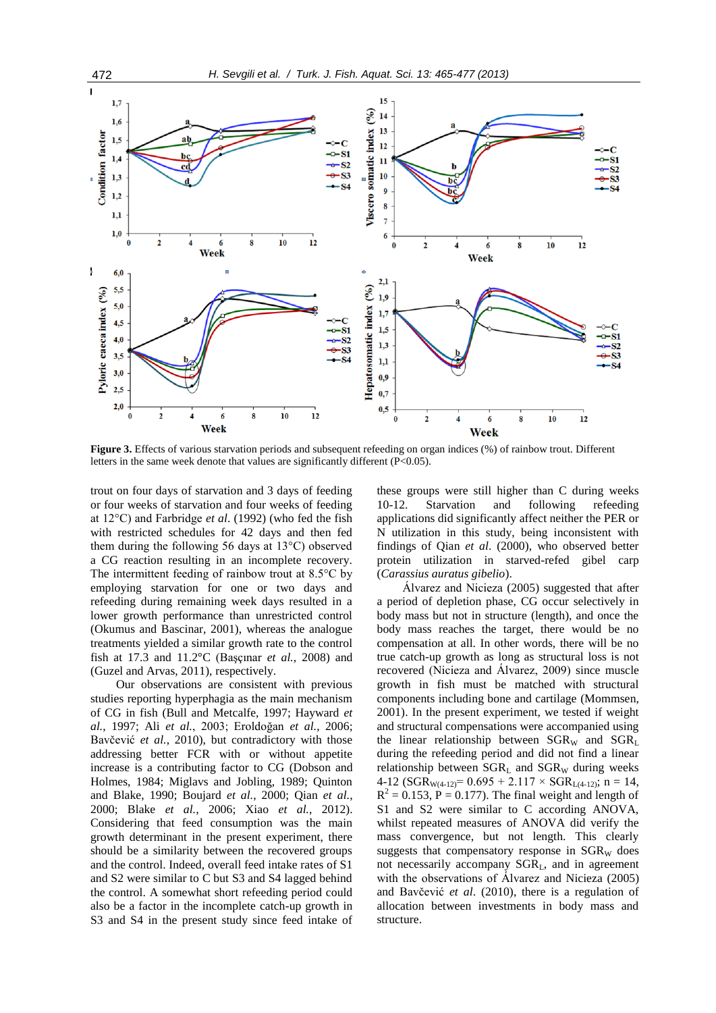

**Figure 3.** Effects of various starvation periods and subsequent refeeding on organ indices (%) of rainbow trout. Different letters in the same week denote that values are significantly different (P<0.05).

trout on four days of starvation and 3 days of feeding or four weeks of starvation and four weeks of feeding at 12°C) and Farbridge *et al*. (1992) (who fed the fish with restricted schedules for 42 days and then fed them during the following 56 days at 13°C) observed a CG reaction resulting in an incomplete recovery. The intermittent feeding of rainbow trout at 8.5°C by employing starvation for one or two days and refeeding during remaining week days resulted in a lower growth performance than unrestricted control (Okumus and Bascinar, 2001), whereas the analogue treatments yielded a similar growth rate to the control fish at 17.3 and 11.2°C (Başçınar *et al.*, 2008) and (Guzel and Arvas, 2011), respectively.

Our observations are consistent with previous studies reporting hyperphagia as the main mechanism of CG in fish (Bull and Metcalfe, 1997; Hayward *et al.*, 1997; Ali *et al.*, 2003; Eroldoğan *et al.*, 2006; Bavčević *et al.*, 2010), but contradictory with those addressing better FCR with or without appetite increase is a contributing factor to CG (Dobson and Holmes, 1984; Miglavs and Jobling, 1989; Quinton and Blake, 1990; Boujard *et al.*, 2000; Qian *et al.*, 2000; Blake *et al.*, 2006; Xiao *et al.*, 2012). Considering that feed consumption was the main growth determinant in the present experiment, there should be a similarity between the recovered groups and the control. Indeed, overall feed intake rates of S1 and S2 were similar to C but S3 and S4 lagged behind the control. A somewhat short refeeding period could also be a factor in the incomplete catch-up growth in S3 and S4 in the present study since feed intake of these groups were still higher than C during weeks 10-12. Starvation and following refeeding applications did significantly affect neither the PER or N utilization in this study, being inconsistent with findings of Qian *et al*. (2000), who observed better protein utilization in starved-refed gibel carp (*Carassius auratus gibelio*).

Álvarez and Nicieza (2005) suggested that after a period of depletion phase, CG occur selectively in body mass but not in structure (length), and once the body mass reaches the target, there would be no compensation at all. In other words, there will be no true catch-up growth as long as structural loss is not recovered (Nicieza and Álvarez, 2009) since muscle growth in fish must be matched with structural components including bone and cartilage (Mommsen, 2001). In the present experiment, we tested if weight and structural compensations were accompanied using the linear relationship between  $SGR_W$  and  $SGR_L$ during the refeeding period and did not find a linear relationship between  $SGR<sub>L</sub>$  and  $SGR<sub>W</sub>$  during weeks 4-12 ( $SGR_{W(4-12)} = 0.695 + 2.117 \times SGR_{L(4-12)}$ ; n = 14,  $R<sup>2</sup> = 0.153$ ,  $P = 0.177$ ). The final weight and length of S1 and S2 were similar to C according ANOVA, whilst repeated measures of ANOVA did verify the mass convergence, but not length. This clearly suggests that compensatory response in  $SGR<sub>w</sub>$  does not necessarily accompany  $SGR<sub>L</sub>$ , and in agreement with the observations of Álvarez and Nicieza (2005) and Bavčević *et al*. (2010), there is a regulation of allocation between investments in body mass and structure.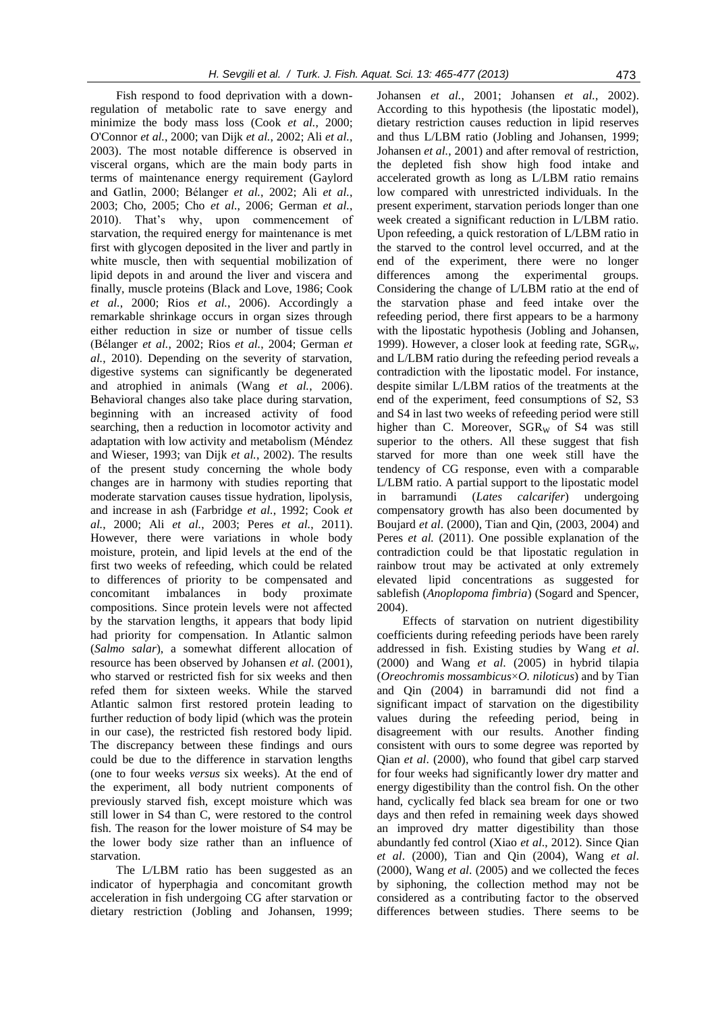Fish respond to food deprivation with a downregulation of metabolic rate to save energy and minimize the body mass loss (Cook *et al.*, 2000; O'Connor *et al.*, 2000; van Dijk *et al.*, 2002; Ali *et al.*, 2003). The most notable difference is observed in visceral organs, which are the main body parts in terms of maintenance energy requirement (Gaylord and Gatlin, 2000; Bélanger *et al.*, 2002; Ali *et al.*, 2003; Cho, 2005; Cho *et al.*, 2006; German *et al.*, 2010). That's why, upon commencement of starvation, the required energy for maintenance is met first with glycogen deposited in the liver and partly in white muscle, then with sequential mobilization of lipid depots in and around the liver and viscera and finally, muscle proteins (Black and Love, 1986; Cook *et al.*, 2000; Rios *et al.*, 2006). Accordingly a remarkable shrinkage occurs in organ sizes through either reduction in size or number of tissue cells (Bélanger *et al.*, 2002; Rios *et al.*, 2004; German *et al.*, 2010). Depending on the severity of starvation, digestive systems can significantly be degenerated and atrophied in animals (Wang *et al.*, 2006). Behavioral changes also take place during starvation, beginning with an increased activity of food searching, then a reduction in locomotor activity and adaptation with low activity and metabolism (Méndez and Wieser, 1993; van Dijk *et al.*, 2002). The results of the present study concerning the whole body changes are in harmony with studies reporting that moderate starvation causes tissue hydration, lipolysis, and increase in ash (Farbridge *et al.*, 1992; Cook *et al.*, 2000; Ali *et al.*, 2003; Peres *et al.*, 2011). However, there were variations in whole body moisture, protein, and lipid levels at the end of the first two weeks of refeeding, which could be related to differences of priority to be compensated and concomitant imbalances in body proximate compositions. Since protein levels were not affected by the starvation lengths, it appears that body lipid had priority for compensation. In Atlantic salmon (*Salmo salar*), a somewhat different allocation of resource has been observed by Johansen *et al*. (2001), who starved or restricted fish for six weeks and then refed them for sixteen weeks. While the starved Atlantic salmon first restored protein leading to further reduction of body lipid (which was the protein in our case), the restricted fish restored body lipid. The discrepancy between these findings and ours could be due to the difference in starvation lengths (one to four weeks *versus* six weeks). At the end of the experiment, all body nutrient components of previously starved fish, except moisture which was still lower in S4 than C, were restored to the control fish. The reason for the lower moisture of S4 may be the lower body size rather than an influence of starvation.

The L/LBM ratio has been suggested as an indicator of hyperphagia and concomitant growth acceleration in fish undergoing CG after starvation or dietary restriction (Jobling and Johansen, 1999;

Johansen *et al.*, 2001; Johansen *et al.*, 2002). According to this hypothesis (the lipostatic model), dietary restriction causes reduction in lipid reserves and thus L/LBM ratio (Jobling and Johansen, 1999; Johansen *et al.*, 2001) and after removal of restriction, the depleted fish show high food intake and accelerated growth as long as L/LBM ratio remains low compared with unrestricted individuals. In the present experiment, starvation periods longer than one week created a significant reduction in L/LBM ratio. Upon refeeding, a quick restoration of L/LBM ratio in the starved to the control level occurred, and at the end of the experiment, there were no longer differences among the experimental groups. Considering the change of L/LBM ratio at the end of the starvation phase and feed intake over the refeeding period, there first appears to be a harmony with the lipostatic hypothesis (Jobling and Johansen, 1999). However, a closer look at feeding rate,  $SGR<sub>w</sub>$ , and L/LBM ratio during the refeeding period reveals a contradiction with the lipostatic model. For instance, despite similar L/LBM ratios of the treatments at the end of the experiment, feed consumptions of S2, S3 and S4 in last two weeks of refeeding period were still higher than C. Moreover,  $SGR_W$  of S4 was still superior to the others. All these suggest that fish starved for more than one week still have the tendency of CG response, even with a comparable L/LBM ratio. A partial support to the lipostatic model in barramundi (*Lates calcarifer*) undergoing compensatory growth has also been documented by Boujard *et al*. (2000), Tian and Qin, (2003, 2004) and Peres *et al.* (2011). One possible explanation of the contradiction could be that lipostatic regulation in rainbow trout may be activated at only extremely elevated lipid concentrations as suggested for sablefish (*Anoplopoma fimbria*) (Sogard and Spencer, 2004).

Effects of starvation on nutrient digestibility coefficients during refeeding periods have been rarely addressed in fish. Existing studies by Wang *et al*. (2000) and Wang *et al*. (2005) in hybrid tilapia (*Oreochromis mossambicus*×*O. niloticus*) and by Tian and Qin (2004) in barramundi did not find a significant impact of starvation on the digestibility values during the refeeding period, being in disagreement with our results. Another finding consistent with ours to some degree was reported by Qian *et al*. (2000), who found that gibel carp starved for four weeks had significantly lower dry matter and energy digestibility than the control fish. On the other hand, cyclically fed black sea bream for one or two days and then refed in remaining week days showed an improved dry matter digestibility than those abundantly fed control (Xiao *et al*., 2012). Since Qian *et al*. (2000), Tian and Qin (2004), Wang *et al*. (2000), Wang *et al*. (2005) and we collected the feces by siphoning, the collection method may not be considered as a contributing factor to the observed differences between studies. There seems to be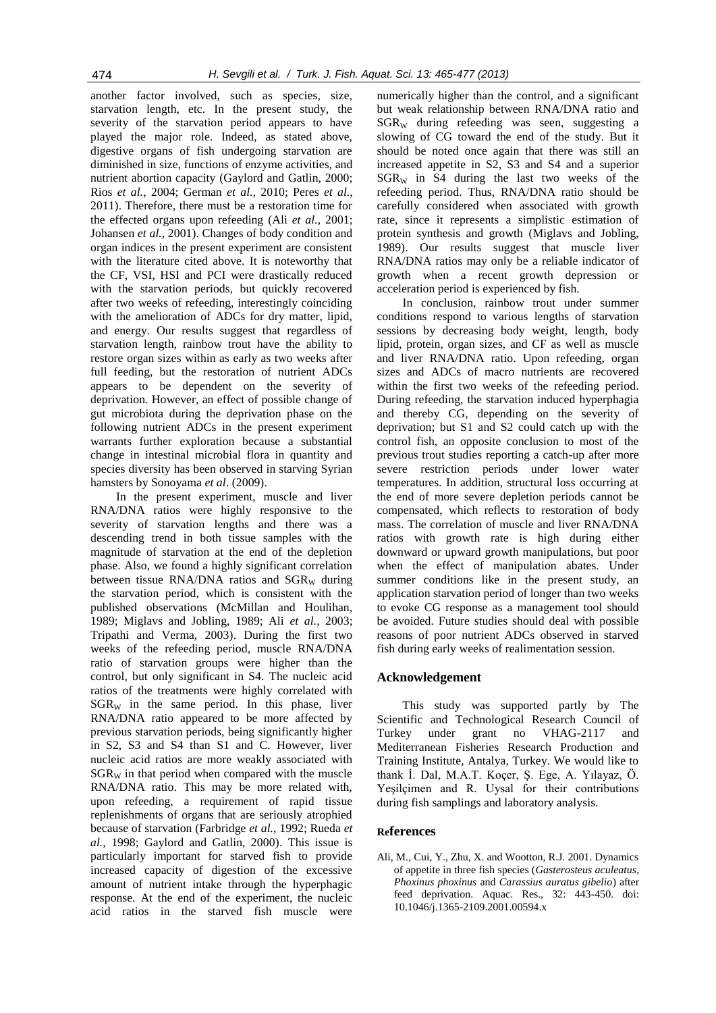another factor involved, such as species, size, starvation length, etc. In the present study, the severity of the starvation period appears to have played the major role. Indeed, as stated above, digestive organs of fish undergoing starvation are diminished in size, functions of enzyme activities, and nutrient abortion capacity (Gaylord and Gatlin, 2000; Rios *et al.*, 2004; German *et al.*, 2010; Peres *et al.*, 2011). Therefore, there must be a restoration time for the effected organs upon refeeding (Ali *et al.*, 2001; Johansen *et al.*, 2001). Changes of body condition and organ indices in the present experiment are consistent with the literature cited above. It is noteworthy that the CF, VSI, HSI and PCI were drastically reduced with the starvation periods, but quickly recovered after two weeks of refeeding, interestingly coinciding with the amelioration of ADCs for dry matter, lipid, and energy. Our results suggest that regardless of starvation length, rainbow trout have the ability to restore organ sizes within as early as two weeks after full feeding, but the restoration of nutrient ADCs appears to be dependent on the severity of deprivation. However, an effect of possible change of gut microbiota during the deprivation phase on the following nutrient ADCs in the present experiment warrants further exploration because a substantial change in intestinal microbial flora in quantity and species diversity has been observed in starving Syrian hamsters by Sonoyama *et al*. (2009).

In the present experiment, muscle and liver RNA/DNA ratios were highly responsive to the severity of starvation lengths and there was a descending trend in both tissue samples with the magnitude of starvation at the end of the depletion phase. Also, we found a highly significant correlation between tissue RNA/DNA ratios and  $SGR_W$  during the starvation period, which is consistent with the published observations (McMillan and Houlihan, 1989; Miglavs and Jobling, 1989; Ali *et al.*, 2003; Tripathi and Verma, 2003). During the first two weeks of the refeeding period, muscle RNA/DNA ratio of starvation groups were higher than the control, but only significant in S4. The nucleic acid ratios of the treatments were highly correlated with  $SGR_W$  in the same period. In this phase, liver RNA/DNA ratio appeared to be more affected by previous starvation periods, being significantly higher in S2, S3 and S4 than S1 and C. However, liver nucleic acid ratios are more weakly associated with  $SGR<sub>w</sub>$  in that period when compared with the muscle RNA/DNA ratio. This may be more related with, upon refeeding, a requirement of rapid tissue replenishments of organs that are seriously atrophied because of starvation (Farbridge *et al.*, 1992; Rueda *et al.*, 1998; Gaylord and Gatlin, 2000). This issue is particularly important for starved fish to provide increased capacity of digestion of the excessive amount of nutrient intake through the hyperphagic response. At the end of the experiment, the nucleic acid ratios in the starved fish muscle were

numerically higher than the control, and a significant but weak relationship between RNA/DNA ratio and SGR<sup>W</sup> during refeeding was seen, suggesting a slowing of CG toward the end of the study. But it should be noted once again that there was still an increased appetite in S2, S3 and S4 and a superior SGR<sup>W</sup> in S4 during the last two weeks of the refeeding period. Thus, RNA/DNA ratio should be carefully considered when associated with growth rate, since it represents a simplistic estimation of protein synthesis and growth (Miglavs and Jobling, 1989). Our results suggest that muscle liver RNA/DNA ratios may only be a reliable indicator of growth when a recent growth depression or acceleration period is experienced by fish.

In conclusion, rainbow trout under summer conditions respond to various lengths of starvation sessions by decreasing body weight, length, body lipid, protein, organ sizes, and CF as well as muscle and liver RNA/DNA ratio. Upon refeeding, organ sizes and ADCs of macro nutrients are recovered within the first two weeks of the refeeding period. During refeeding, the starvation induced hyperphagia and thereby CG, depending on the severity of deprivation; but S1 and S2 could catch up with the control fish, an opposite conclusion to most of the previous trout studies reporting a catch-up after more severe restriction periods under lower water temperatures. In addition, structural loss occurring at the end of more severe depletion periods cannot be compensated, which reflects to restoration of body mass. The correlation of muscle and liver RNA/DNA ratios with growth rate is high during either downward or upward growth manipulations, but poor when the effect of manipulation abates. Under summer conditions like in the present study, an application starvation period of longer than two weeks to evoke CG response as a management tool should be avoided. Future studies should deal with possible reasons of poor nutrient ADCs observed in starved fish during early weeks of realimentation session.

## **Acknowledgement**

This study was supported partly by The Scientific and Technological Research Council of Turkey under grant no VHAG-2117 and Mediterranean Fisheries Research Production and Training Institute, Antalya, Turkey. We would like to thank İ. Dal, M.A.T. Koçer, Ş. Ege, A. Yılayaz, Ö. Yeşilçimen and R. Uysal for their contributions during fish samplings and laboratory analysis.

## **References**

Ali, M., Cui, Y., Zhu, X. and Wootton, R.J. 2001. Dynamics of appetite in three fish species (*Gasterosteus aculeatus*, *Phoxinus phoxinus* and *Carassius auratus gibelio*) after feed deprivation. Aquac. Res., 32: 443-450. doi: 10.1046/j.1365-2109.2001.00594.x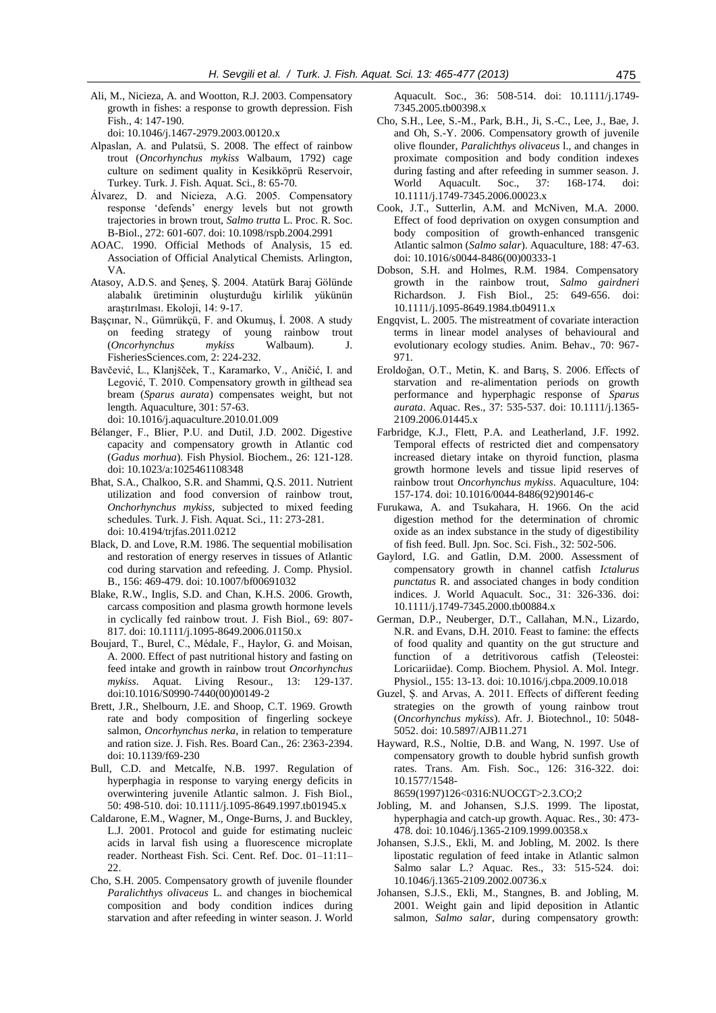Ali, M., Nicieza, A. and Wootton, R.J. 2003. Compensatory growth in fishes: a response to growth depression. Fish Fish., 4: 147-190.

doi: 10.1046/j.1467-2979.2003.00120.x

- Alpaslan, A. and Pulatsü, S. 2008. The effect of rainbow trout (*Oncorhynchus mykiss* Walbaum, 1792) cage culture on sediment quality in Kesikköprü Reservoir, Turkey. Turk. J. Fish. Aquat. Sci., 8: 65-70.
- Álvarez, D. and Nicieza, A.G. 2005. Compensatory response 'defends' energy levels but not growth trajectories in brown trout, *Salmo trutta* L. Proc. R. Soc. B-Biol., 272: 601-607. doi: 10.1098/rspb.2004.2991
- AOAC. 1990. Official Methods of Analysis, 15 ed. Association of Official Analytical Chemists. Arlington, VA.
- Atasoy, A.D.S. and Şeneş, Ş. 2004. Atatürk Baraj Gölünde alabalık üretiminin oluşturduğu kirlilik yükünün araştırılması. Ekoloji, 14: 9-17.
- Başçınar, N., Gümrükçü, F. and Okumuş, İ. 2008. A study on feeding strategy of young rainbow trout (*Oncorhynchus mykiss* Walbaum). J. FisheriesSciences.com, 2: 224-232.
- Bavčević, L., Klanjšček, T., Karamarko, V., Aničić, I. and Legović, T. 2010. Compensatory growth in gilthead sea bream (*Sparus aurata*) compensates weight, but not length. Aquaculture, 301: 57-63. doi: 10.1016/j.aquaculture.2010.01.009
- Bélanger, F., Blier, P.U. and Dutil, J.D. 2002. Digestive capacity and compensatory growth in Atlantic cod (*Gadus morhua*). Fish Physiol. Biochem., 26: 121-128. doi: 10.1023/a:1025461108348
- Bhat, S.A., Chalkoo, S.R. and Shammi, Q.S. 2011. Nutrient utilization and food conversion of rainbow trout, *Onchorhynchus mykiss*, subjected to mixed feeding schedules. Turk. J. Fish. Aquat. Sci., 11: 273-281. doi: 10.4194/trjfas.2011.0212
- Black, D. and Love, R.M. 1986. The sequential mobilisation and restoration of energy reserves in tissues of Atlantic cod during starvation and refeeding. J. Comp. Physiol. B., 156: 469-479. doi: 10.1007/bf00691032
- Blake, R.W., Inglis, S.D. and Chan, K.H.S. 2006. Growth, carcass composition and plasma growth hormone levels in cyclically fed rainbow trout. J. Fish Biol., 69: 807- 817. doi: 10.1111/j.1095-8649.2006.01150.x
- Boujard, T., Burel, C., Médale, F., Haylor, G. and Moisan, A. 2000. Effect of past nutritional history and fasting on feed intake and growth in rainbow trout *Oncorhynchus mykiss*. Aquat. Living Resour., 13: 129-137. doi:10.1016/S0990-7440(00)00149-2
- Brett, J.R., Shelbourn, J.E. and Shoop, C.T. 1969. Growth rate and body composition of fingerling sockeye salmon, *Oncorhynchus nerka*, in relation to temperature and ration size. J. Fish. Res. Board Can., 26: 2363-2394. doi: 10.1139/f69-230
- Bull, C.D. and Metcalfe, N.B. 1997. Regulation of hyperphagia in response to varying energy deficits in overwintering juvenile Atlantic salmon. J. Fish Biol., 50: 498-510. doi: 10.1111/j.1095-8649.1997.tb01945.x
- Caldarone, E.M., Wagner, M., Onge-Burns, J. and Buckley, L.J. 2001. Protocol and guide for estimating nucleic acids in larval fish using a fluorescence microplate reader. Northeast Fish. Sci. Cent. Ref. Doc. 01–11:11–  $22.2$
- Cho, S.H. 2005. Compensatory growth of juvenile flounder *Paralichthys olivaceus* L. and changes in biochemical composition and body condition indices during starvation and after refeeding in winter season. J. World

Aquacult. Soc., 36: 508-514. doi: 10.1111/j.1749- 7345.2005.tb00398.x

- Cho, S.H., Lee, S.-M., Park, B.H., Ji, S.-C., Lee, J., Bae, J. and Oh, S.-Y. 2006. Compensatory growth of juvenile olive flounder, *Paralichthys olivaceus* l., and changes in proximate composition and body condition indexes during fasting and after refeeding in summer season. J. World Aquacult. Soc., 37: 168-174. doi: 10.1111/j.1749-7345.2006.00023.x
- Cook, J.T., Sutterlin, A.M. and McNiven, M.A. 2000. Effect of food deprivation on oxygen consumption and body composition of growth-enhanced transgenic Atlantic salmon (*Salmo salar*). Aquaculture, 188: 47-63. doi: 10.1016/s0044-8486(00)00333-1
- Dobson, S.H. and Holmes, R.M. 1984. Compensatory growth in the rainbow trout, *Salmo gairdneri*  Richardson. J. Fish Biol., 25: 649-656. doi: 10.1111/j.1095-8649.1984.tb04911.x
- Engqvist, L. 2005. The mistreatment of covariate interaction terms in linear model analyses of behavioural and evolutionary ecology studies. Anim. Behav., 70: 967- 971.
- Eroldoğan, O.T., Metin, K. and Barιş, S. 2006. Effects of starvation and re-alimentation periods on growth performance and hyperphagic response of *Sparus aurata*. Aquac. Res., 37: 535-537. doi: 10.1111/j.1365- 2109.2006.01445.x
- Farbridge, K.J., Flett, P.A. and Leatherland, J.F. 1992. Temporal effects of restricted diet and compensatory increased dietary intake on thyroid function, plasma growth hormone levels and tissue lipid reserves of rainbow trout *Oncorhynchus mykiss*. Aquaculture, 104: 157-174. doi: 10.1016/0044-8486(92)90146-c
- Furukawa, A. and Tsukahara, H. 1966. On the acid digestion method for the determination of chromic oxide as an index substance in the study of digestibility of fish feed. Bull. Jpn. Soc. Sci. Fish., 32: 502-506.
- Gaylord, I.G. and Gatlin, D.M. 2000. Assessment of compensatory growth in channel catfish *Ictalurus punctatus* R. and associated changes in body condition indices. J. World Aquacult. Soc., 31: 326-336. doi: 10.1111/j.1749-7345.2000.tb00884.x
- German, D.P., Neuberger, D.T., Callahan, M.N., Lizardo, N.R. and Evans, D.H. 2010. Feast to famine: the effects of food quality and quantity on the gut structure and function of a detritivorous catfish (Teleostei: Loricariidae). Comp. Biochem. Physiol. A. Mol. Integr. Physiol., 155: 13-13. doi: 10.1016/j.cbpa.2009.10.018
- Guzel, Ş. and Arvas, A. 2011. Effects of different feeding strategies on the growth of young rainbow trout (*Oncorhynchus mykiss*). Afr. J. Biotechnol., 10: 5048- 5052. doi: 10.5897/AJB11.271
- Hayward, R.S., Noltie, D.B. and Wang, N. 1997. Use of compensatory growth to double hybrid sunfish growth rates. Trans. Am. Fish. Soc., 126: 316-322. doi: 10.1577/1548-

8659(1997)126<0316:NUOCGT>2.3.CO;2

- Jobling, M. and Johansen, S.J.S. 1999. The lipostat, hyperphagia and catch-up growth. Aquac. Res., 30: 473- 478. doi: 10.1046/j.1365-2109.1999.00358.x
- Johansen, S.J.S., Ekli, M. and Jobling, M. 2002. Is there lipostatic regulation of feed intake in Atlantic salmon Salmo salar L.? Aquac. Res., 33: 515-524. doi: 10.1046/j.1365-2109.2002.00736.x
- Johansen, S.J.S., Ekli, M., Stangnes, B. and Jobling, M. 2001. Weight gain and lipid deposition in Atlantic salmon, *Salmo salar*, during compensatory growth: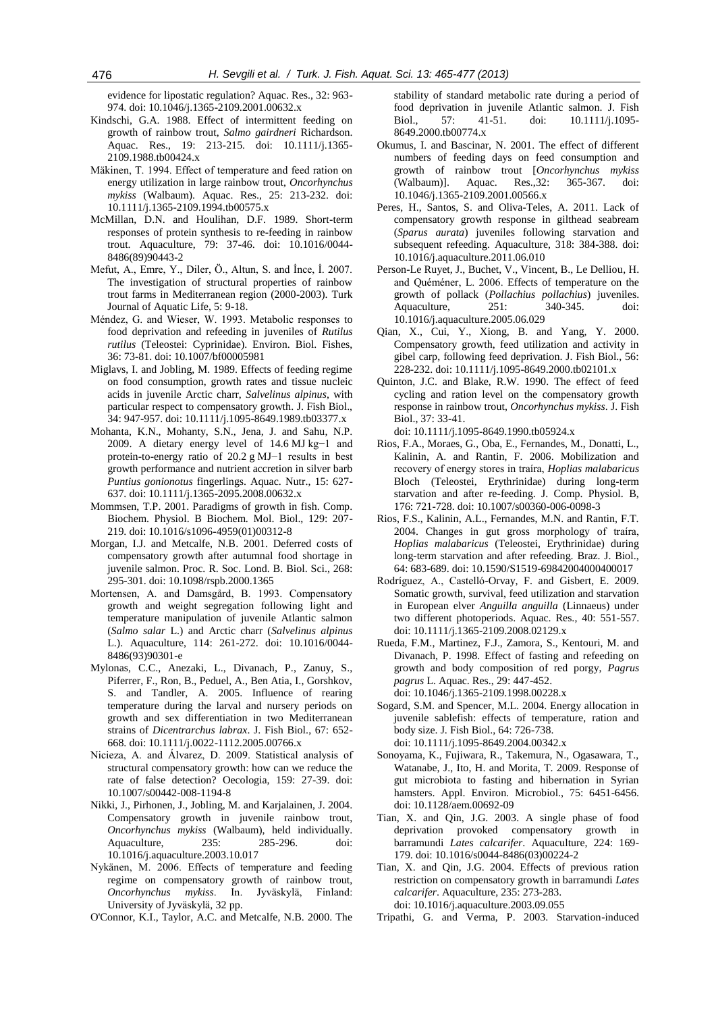evidence for lipostatic regulation? Aquac. Res., 32: 963- 974. doi: 10.1046/j.1365-2109.2001.00632.x

- Kindschi, G.A. 1988. Effect of intermittent feeding on growth of rainbow trout, *Salmo gairdneri* Richardson. Aquac. Res., 19: 213-215. doi: 10.1111/j.1365- 2109.1988.tb00424.x
- Mäkinen, T. 1994. Effect of temperature and feed ration on energy utilization in large rainbow trout, *Oncorhynchus mykiss* (Walbaum). Aquac. Res., 25: 213-232. doi: 10.1111/j.1365-2109.1994.tb00575.x
- McMillan, D.N. and Houlihan, D.F. 1989. Short-term responses of protein synthesis to re-feeding in rainbow trout. Aquaculture, 79: 37-46. doi: 10.1016/0044- 8486(89)90443-2
- Mefut, A., Emre, Y., Diler, Ö., Altun, S. and İnce, İ. 2007. The investigation of structural properties of rainbow trout farms in Mediterranean region (2000-2003). Turk Journal of Aquatic Life, 5: 9-18.
- Méndez, G. and Wieser, W. 1993. Metabolic responses to food deprivation and refeeding in juveniles of *Rutilus rutilus* (Teleostei: Cyprinidae). Environ. Biol. Fishes, 36: 73-81. doi: 10.1007/bf00005981
- Miglavs, I. and Jobling, M. 1989. Effects of feeding regime on food consumption, growth rates and tissue nucleic acids in juvenile Arctic charr, *Salvelinus alpinus*, with particular respect to compensatory growth. J. Fish Biol., 34: 947-957. doi: 10.1111/j.1095-8649.1989.tb03377.x
- Mohanta, K.N., Mohanty, S.N., Jena, J. and Sahu, N.P. 2009. A dietary energy level of 14.6 MJ kg−1 and protein-to-energy ratio of 20.2 g MJ−1 results in best growth performance and nutrient accretion in silver barb *Puntius gonionotus* fingerlings. Aquac. Nutr., 15: 627- 637. doi: 10.1111/j.1365-2095.2008.00632.x
- Mommsen, T.P. 2001. Paradigms of growth in fish. Comp. Biochem. Physiol. B Biochem. Mol. Biol., 129: 207- 219. doi: 10.1016/s1096-4959(01)00312-8
- Morgan, I.J. and Metcalfe, N.B. 2001. Deferred costs of compensatory growth after autumnal food shortage in juvenile salmon. Proc. R. Soc. Lond. B. Biol. Sci., 268: 295-301. doi: 10.1098/rspb.2000.1365
- Mortensen, A. and Damsgård, B. 1993. Compensatory growth and weight segregation following light and temperature manipulation of juvenile Atlantic salmon (*Salmo salar* L.) and Arctic charr (*Salvelinus alpinus* L.). Aquaculture, 114: 261-272. doi: 10.1016/0044- 8486(93)90301-e
- Mylonas, C.C., Anezaki, L., Divanach, P., Zanuy, S., Piferrer, F., Ron, B., Peduel, A., Ben Atia, I., Gorshkov, S. and Tandler, A. 2005. Influence of rearing temperature during the larval and nursery periods on growth and sex differentiation in two Mediterranean strains of *Dicentrarchus labrax*. J. Fish Biol., 67: 652- 668. doi: 10.1111/j.0022-1112.2005.00766.x
- Nicieza, A. and Álvarez, D. 2009. Statistical analysis of structural compensatory growth: how can we reduce the rate of false detection? Oecologia, 159: 27-39. doi: 10.1007/s00442-008-1194-8
- Nikki, J., Pirhonen, J., Jobling, M. and Karjalainen, J. 2004. Compensatory growth in juvenile rainbow trout, *Oncorhynchus mykiss* (Walbaum), held individually. Aquaculture, 235: 285-296. doi: 10.1016/j.aquaculture.2003.10.017
- Nykänen, M. 2006. Effects of temperature and feeding regime on compensatory growth of rainbow trout, *Oncorhynchus mykiss*. In. Jyväskylä, Finland: University of Jyväskylä, 32 pp.
- O'Connor, K.I., Taylor, A.C. and Metcalfe, N.B. 2000. The

stability of standard metabolic rate during a period of food deprivation in juvenile Atlantic salmon. J. Fish Biol., 57: 41-51. doi: 10.1111/j.1095- 8649.2000.tb00774 x

- Okumus, I. and Bascinar, N. 2001. The effect of different numbers of feeding days on feed consumption and growth of rainbow trout [*Oncorhynchus mykiss* (Walbaum)]. Aquac. Res.,32: 365-367. doi: 10.1046/j.1365-2109.2001.00566.x
- Peres, H., Santos, S. and Oliva-Teles, A. 2011. Lack of compensatory growth response in gilthead seabream (*Sparus aurata*) juveniles following starvation and subsequent refeeding. Aquaculture, 318: 384-388. doi: 10.1016/j.aquaculture.2011.06.010
- Person-Le Ruyet, J., Buchet, V., Vincent, B., Le Delliou, H. and Quéméner, L. 2006. Effects of temperature on the growth of pollack (*Pollachius pollachius*) juveniles. Aquaculture, 251: 340-345. doi: 10.1016/j.aquaculture.2005.06.029
- Qian, X., Cui, Y., Xiong, B. and Yang, Y. 2000. Compensatory growth, feed utilization and activity in gibel carp, following feed deprivation. J. Fish Biol., 56: 228-232. doi: 10.1111/j.1095-8649.2000.tb02101.x
- Quinton, J.C. and Blake, R.W. 1990. The effect of feed cycling and ration level on the compensatory growth response in rainbow trout, *Oncorhynchus mykiss*. J. Fish Biol., 37: 33-41.

doi: 10.1111/j.1095-8649.1990.tb05924.x

- Rios, F.A., Moraes, G., Oba, E., Fernandes, M., Donatti, L., Kalinin, A. and Rantin, F. 2006. Mobilization and recovery of energy stores in traíra, *Hoplias malabaricus* Bloch (Teleostei, Erythrinidae) during long-term starvation and after re-feeding. J. Comp. Physiol. B, 176: 721-728. doi: 10.1007/s00360-006-0098-3
- Rios, F.S., Kalinin, A.L., Fernandes, M.N. and Rantin, F.T. 2004. Changes in gut gross morphology of traíra, *Hoplias malabaricus* (Teleostei, Erythrinidae) during long-term starvation and after refeeding. Braz. J. Biol., 64: 683-689. doi: 10.1590/S1519-69842004000400017
- Rodríguez, A., Castelló-Orvay, F. and Gisbert, E. 2009. Somatic growth, survival, feed utilization and starvation in European elver *Anguilla anguilla* (Linnaeus) under two different photoperiods. Aquac. Res., 40: 551-557. doi: 10.1111/j.1365-2109.2008.02129.x
- Rueda, F.M., Martinez, F.J., Zamora, S., Kentouri, M. and Divanach, P. 1998. Effect of fasting and refeeding on growth and body composition of red porgy, *Pagrus pagrus* L. Aquac. Res., 29: 447-452. doi: 10.1046/j.1365-2109.1998.00228.x
- Sogard, S.M. and Spencer, M.L. 2004. Energy allocation in juvenile sablefish: effects of temperature, ration and body size. J. Fish Biol., 64: 726-738.
- doi: 10.1111/j.1095-8649.2004.00342.x Sonoyama, K., Fujiwara, R., Takemura, N., Ogasawara, T., Watanabe, J., Ito, H. and Morita, T. 2009. Response of gut microbiota to fasting and hibernation in Syrian hamsters. Appl. Environ. Microbiol., 75: 6451-6456. doi: 10.1128/aem.00692-09
- Tian, X. and Qin, J.G. 2003. A single phase of food deprivation provoked compensatory growth in barramundi *Lates calcarifer*. Aquaculture, 224: 169- 179. doi: 10.1016/s0044-8486(03)00224-2
- Tian, X. and Qin, J.G. 2004. Effects of previous ration restriction on compensatory growth in barramundi *Lates calcarifer*. Aquaculture, 235: 273-283. doi: 10.1016/j.aquaculture.2003.09.055
- Tripathi, G. and Verma, P. 2003. Starvation-induced